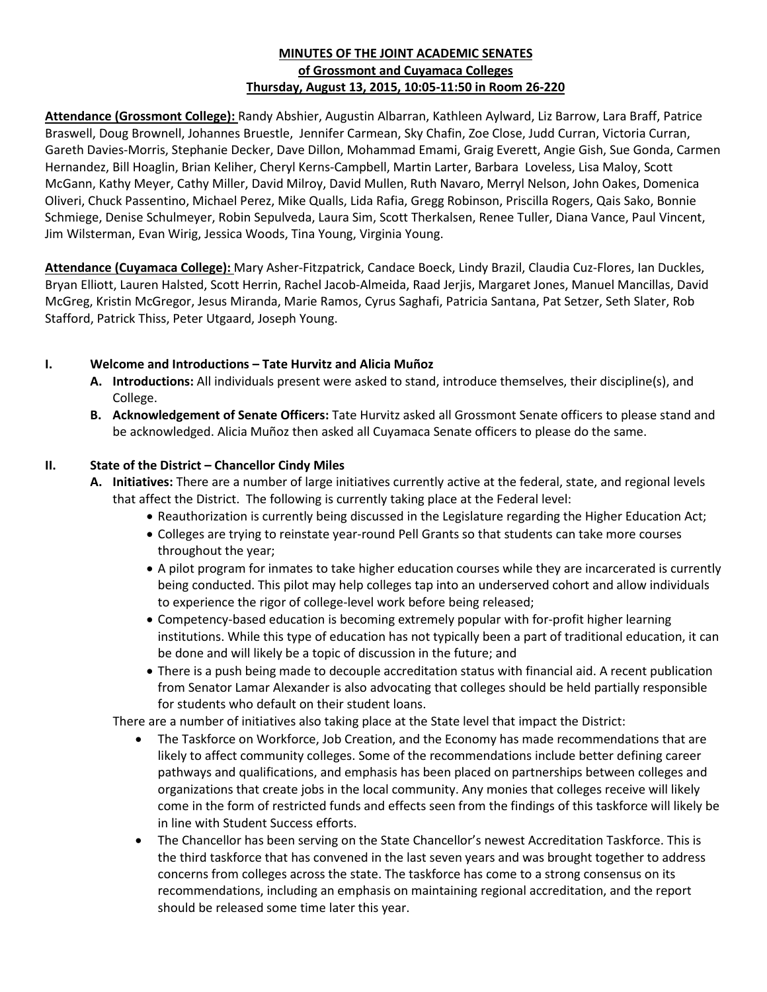### **MINUTES OF THE JOINT ACADEMIC SENATES of Grossmont and Cuyamaca Colleges Thursday, August 13, 2015, 10:05-11:50 in Room 26-220**

**Attendance (Grossmont College):** Randy Abshier, Augustin Albarran, Kathleen Aylward, Liz Barrow, Lara Braff, Patrice Braswell, Doug Brownell, Johannes Bruestle, Jennifer Carmean, Sky Chafin, Zoe Close, Judd Curran, Victoria Curran, Gareth Davies-Morris, Stephanie Decker, Dave Dillon, Mohammad Emami, Graig Everett, Angie Gish, Sue Gonda, Carmen Hernandez, Bill Hoaglin, Brian Keliher, Cheryl Kerns-Campbell, Martin Larter, Barbara Loveless, Lisa Maloy, Scott McGann, Kathy Meyer, Cathy Miller, David Milroy, David Mullen, Ruth Navaro, Merryl Nelson, John Oakes, Domenica Oliveri, Chuck Passentino, Michael Perez, Mike Qualls, Lida Rafia, Gregg Robinson, Priscilla Rogers, Qais Sako, Bonnie Schmiege, Denise Schulmeyer, Robin Sepulveda, Laura Sim, Scott Therkalsen, Renee Tuller, Diana Vance, Paul Vincent, Jim Wilsterman, Evan Wirig, Jessica Woods, Tina Young, Virginia Young.

**Attendance (Cuyamaca College):** Mary Asher-Fitzpatrick, Candace Boeck, Lindy Brazil, Claudia Cuz-Flores, Ian Duckles, Bryan Elliott, Lauren Halsted, Scott Herrin, Rachel Jacob-Almeida, Raad Jerjis, Margaret Jones, Manuel Mancillas, David McGreg, Kristin McGregor, Jesus Miranda, Marie Ramos, Cyrus Saghafi, Patricia Santana, Pat Setzer, Seth Slater, Rob Stafford, Patrick Thiss, Peter Utgaard, Joseph Young.

### **I. Welcome and Introductions – Tate Hurvitz and Alicia Muñoz**

- **A. Introductions:** All individuals present were asked to stand, introduce themselves, their discipline(s), and College.
- **B. Acknowledgement of Senate Officers:** Tate Hurvitz asked all Grossmont Senate officers to please stand and be acknowledged. Alicia Muñoz then asked all Cuyamaca Senate officers to please do the same.

### **II. State of the District – Chancellor Cindy Miles**

- **A. Initiatives:** There are a number of large initiatives currently active at the federal, state, and regional levels that affect the District. The following is currently taking place at the Federal level:
	- Reauthorization is currently being discussed in the Legislature regarding the Higher Education Act;
	- Colleges are trying to reinstate year-round Pell Grants so that students can take more courses throughout the year;
	- A pilot program for inmates to take higher education courses while they are incarcerated is currently being conducted. This pilot may help colleges tap into an underserved cohort and allow individuals to experience the rigor of college-level work before being released;
	- Competency-based education is becoming extremely popular with for-profit higher learning institutions. While this type of education has not typically been a part of traditional education, it can be done and will likely be a topic of discussion in the future; and
	- There is a push being made to decouple accreditation status with financial aid. A recent publication from Senator Lamar Alexander is also advocating that colleges should be held partially responsible for students who default on their student loans.

There are a number of initiatives also taking place at the State level that impact the District:

- The Taskforce on Workforce, Job Creation, and the Economy has made recommendations that are likely to affect community colleges. Some of the recommendations include better defining career pathways and qualifications, and emphasis has been placed on partnerships between colleges and organizations that create jobs in the local community. Any monies that colleges receive will likely come in the form of restricted funds and effects seen from the findings of this taskforce will likely be in line with Student Success efforts.
- The Chancellor has been serving on the State Chancellor's newest Accreditation Taskforce. This is the third taskforce that has convened in the last seven years and was brought together to address concerns from colleges across the state. The taskforce has come to a strong consensus on its recommendations, including an emphasis on maintaining regional accreditation, and the report should be released some time later this year.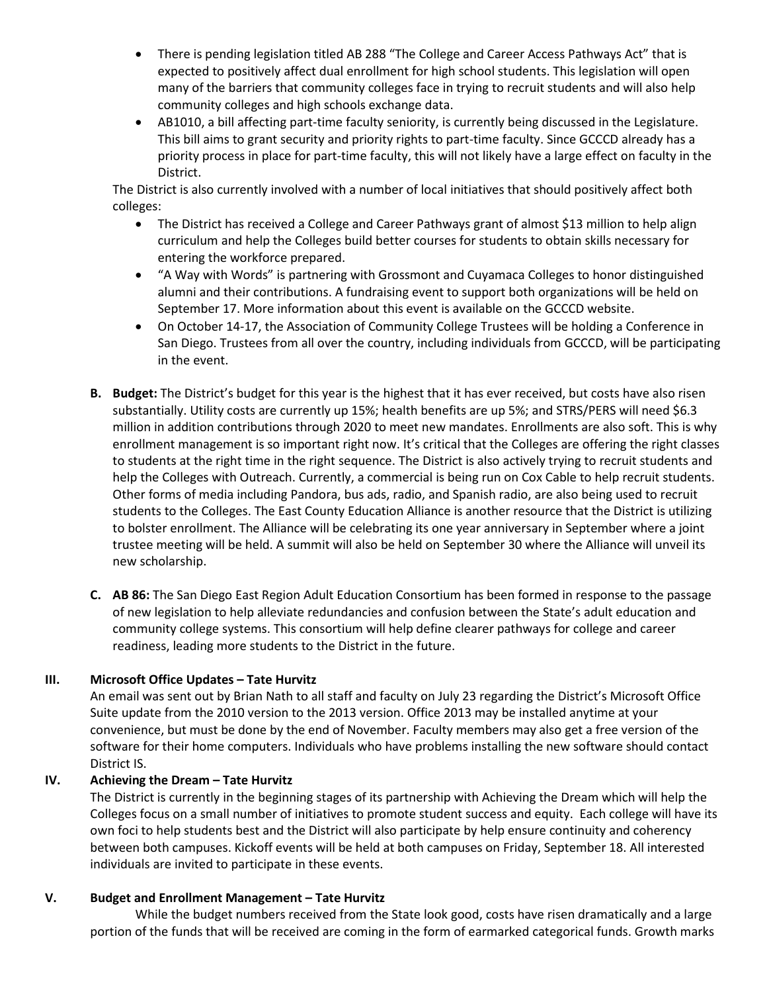- There is pending legislation titled AB 288 "The College and Career Access Pathways Act" that is expected to positively affect dual enrollment for high school students. This legislation will open many of the barriers that community colleges face in trying to recruit students and will also help community colleges and high schools exchange data.
- AB1010, a bill affecting part-time faculty seniority, is currently being discussed in the Legislature. This bill aims to grant security and priority rights to part-time faculty. Since GCCCD already has a priority process in place for part-time faculty, this will not likely have a large effect on faculty in the District.

The District is also currently involved with a number of local initiatives that should positively affect both colleges:

- The District has received a College and Career Pathways grant of almost \$13 million to help align curriculum and help the Colleges build better courses for students to obtain skills necessary for entering the workforce prepared.
- "A Way with Words" is partnering with Grossmont and Cuyamaca Colleges to honor distinguished alumni and their contributions. A fundraising event to support both organizations will be held on September 17. More information about this event is available on the GCCCD website.
- On October 14-17, the Association of Community College Trustees will be holding a Conference in San Diego. Trustees from all over the country, including individuals from GCCCD, will be participating in the event.
- **B. Budget:** The District's budget for this year is the highest that it has ever received, but costs have also risen substantially. Utility costs are currently up 15%; health benefits are up 5%; and STRS/PERS will need \$6.3 million in addition contributions through 2020 to meet new mandates. Enrollments are also soft. This is why enrollment management is so important right now. It's critical that the Colleges are offering the right classes to students at the right time in the right sequence. The District is also actively trying to recruit students and help the Colleges with Outreach. Currently, a commercial is being run on Cox Cable to help recruit students. Other forms of media including Pandora, bus ads, radio, and Spanish radio, are also being used to recruit students to the Colleges. The East County Education Alliance is another resource that the District is utilizing to bolster enrollment. The Alliance will be celebrating its one year anniversary in September where a joint trustee meeting will be held. A summit will also be held on September 30 where the Alliance will unveil its new scholarship.
- **C. AB 86:** The San Diego East Region Adult Education Consortium has been formed in response to the passage of new legislation to help alleviate redundancies and confusion between the State's adult education and community college systems. This consortium will help define clearer pathways for college and career readiness, leading more students to the District in the future.

# **III. Microsoft Office Updates – Tate Hurvitz**

An email was sent out by Brian Nath to all staff and faculty on July 23 regarding the District's Microsoft Office Suite update from the 2010 version to the 2013 version. Office 2013 may be installed anytime at your convenience, but must be done by the end of November. Faculty members may also get a free version of the software for their home computers. Individuals who have problems installing the new software should contact District IS.

# **IV. Achieving the Dream – Tate Hurvitz**

The District is currently in the beginning stages of its partnership with Achieving the Dream which will help the Colleges focus on a small number of initiatives to promote student success and equity. Each college will have its own foci to help students best and the District will also participate by help ensure continuity and coherency between both campuses. Kickoff events will be held at both campuses on Friday, September 18. All interested individuals are invited to participate in these events.

# **V. Budget and Enrollment Management – Tate Hurvitz**

While the budget numbers received from the State look good, costs have risen dramatically and a large portion of the funds that will be received are coming in the form of earmarked categorical funds. Growth marks